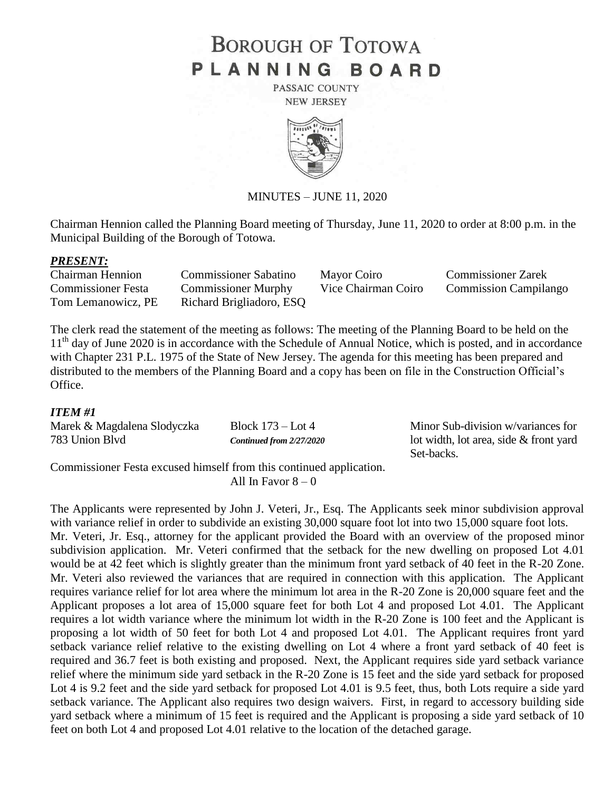# **BOROUGH OF TOTOWA** PLANNING BOARD

PASSAIC COUNTY **NEW JERSEY** 



#### MINUTES – JUNE 11, 2020

Chairman Hennion called the Planning Board meeting of Thursday, June 11, 2020 to order at 8:00 p.m. in the Municipal Building of the Borough of Totowa.

#### *PRESENT:*

| <b>Chairman Hennion</b>   | <b>Commissioner Sabatino</b> | Mayor Coiro         | <b>Commissioner Zarek</b>    |
|---------------------------|------------------------------|---------------------|------------------------------|
| <b>Commissioner Festa</b> | <b>Commissioner Murphy</b>   | Vice Chairman Coiro | <b>Commission Campilango</b> |
| Tom Lemanowicz, PE        | Richard Brigliadoro, ESQ     |                     |                              |

The clerk read the statement of the meeting as follows: The meeting of the Planning Board to be held on the 11<sup>th</sup> day of June 2020 is in accordance with the Schedule of Annual Notice, which is posted, and in accordance with Chapter 231 P.L. 1975 of the State of New Jersey. The agenda for this meeting has been prepared and distributed to the members of the Planning Board and a copy has been on file in the Construction Official's Office.

### *ITEM #1*

| Marek & Magdalena Slodyczka | Block $173 -$ Lot 4      | Minor Sub-division w/variances for     |
|-----------------------------|--------------------------|----------------------------------------|
| 783 Union Blvd              | Continued from 2/27/2020 | lot width, lot area, side & front yard |
|                             |                          | Set-backs.                             |

Commissioner Festa excused himself from this continued application. All In Favor  $8 - 0$ 

The Applicants were represented by John J. Veteri, Jr., Esq. The Applicants seek minor subdivision approval with variance relief in order to subdivide an existing 30,000 square foot lot into two 15,000 square foot lots. Mr. Veteri, Jr. Esq., attorney for the applicant provided the Board with an overview of the proposed minor subdivision application. Mr. Veteri confirmed that the setback for the new dwelling on proposed Lot 4.01 would be at 42 feet which is slightly greater than the minimum front yard setback of 40 feet in the R-20 Zone. Mr. Veteri also reviewed the variances that are required in connection with this application. The Applicant requires variance relief for lot area where the minimum lot area in the R-20 Zone is 20,000 square feet and the Applicant proposes a lot area of 15,000 square feet for both Lot 4 and proposed Lot 4.01. The Applicant requires a lot width variance where the minimum lot width in the R-20 Zone is 100 feet and the Applicant is proposing a lot width of 50 feet for both Lot 4 and proposed Lot 4.01. The Applicant requires front yard setback variance relief relative to the existing dwelling on Lot 4 where a front yard setback of 40 feet is required and 36.7 feet is both existing and proposed. Next, the Applicant requires side yard setback variance relief where the minimum side yard setback in the R-20 Zone is 15 feet and the side yard setback for proposed Lot 4 is 9.2 feet and the side yard setback for proposed Lot 4.01 is 9.5 feet, thus, both Lots require a side yard setback variance. The Applicant also requires two design waivers. First, in regard to accessory building side yard setback where a minimum of 15 feet is required and the Applicant is proposing a side yard setback of 10 feet on both Lot 4 and proposed Lot 4.01 relative to the location of the detached garage.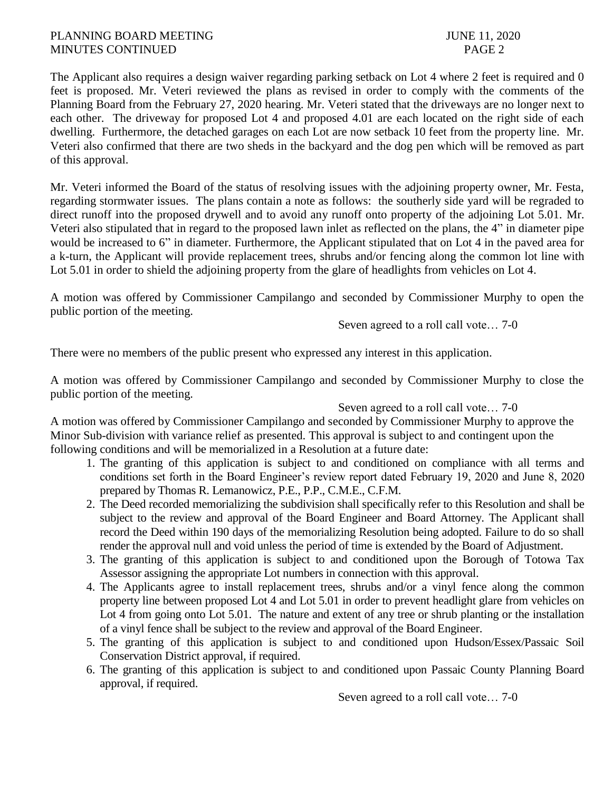## PLANNING BOARD MEETING **SUMPLE 11, 2020** MINUTES CONTINUED PAGE 2

The Applicant also requires a design waiver regarding parking setback on Lot 4 where 2 feet is required and 0 feet is proposed. Mr. Veteri reviewed the plans as revised in order to comply with the comments of the Planning Board from the February 27, 2020 hearing. Mr. Veteri stated that the driveways are no longer next to each other. The driveway for proposed Lot 4 and proposed 4.01 are each located on the right side of each dwelling. Furthermore, the detached garages on each Lot are now setback 10 feet from the property line. Mr. Veteri also confirmed that there are two sheds in the backyard and the dog pen which will be removed as part of this approval.

Mr. Veteri informed the Board of the status of resolving issues with the adjoining property owner, Mr. Festa, regarding stormwater issues. The plans contain a note as follows: the southerly side yard will be regraded to direct runoff into the proposed drywell and to avoid any runoff onto property of the adjoining Lot 5.01. Mr. Veteri also stipulated that in regard to the proposed lawn inlet as reflected on the plans, the 4" in diameter pipe would be increased to 6" in diameter. Furthermore, the Applicant stipulated that on Lot 4 in the paved area for a k-turn, the Applicant will provide replacement trees, shrubs and/or fencing along the common lot line with Lot 5.01 in order to shield the adjoining property from the glare of headlights from vehicles on Lot 4.

A motion was offered by Commissioner Campilango and seconded by Commissioner Murphy to open the public portion of the meeting.

Seven agreed to a roll call vote… 7-0

There were no members of the public present who expressed any interest in this application.

A motion was offered by Commissioner Campilango and seconded by Commissioner Murphy to close the public portion of the meeting.

Seven agreed to a roll call vote… 7-0

A motion was offered by Commissioner Campilango and seconded by Commissioner Murphy to approve the Minor Sub-division with variance relief as presented. This approval is subject to and contingent upon the following conditions and will be memorialized in a Resolution at a future date:

- 1. The granting of this application is subject to and conditioned on compliance with all terms and conditions set forth in the Board Engineer's review report dated February 19, 2020 and June 8, 2020 prepared by Thomas R. Lemanowicz, P.E., P.P., C.M.E., C.F.M.
- 2. The Deed recorded memorializing the subdivision shall specifically refer to this Resolution and shall be subject to the review and approval of the Board Engineer and Board Attorney. The Applicant shall record the Deed within 190 days of the memorializing Resolution being adopted. Failure to do so shall render the approval null and void unless the period of time is extended by the Board of Adjustment.
- 3. The granting of this application is subject to and conditioned upon the Borough of Totowa Tax Assessor assigning the appropriate Lot numbers in connection with this approval.
- 4. The Applicants agree to install replacement trees, shrubs and/or a vinyl fence along the common property line between proposed Lot 4 and Lot 5.01 in order to prevent headlight glare from vehicles on Lot 4 from going onto Lot 5.01. The nature and extent of any tree or shrub planting or the installation of a vinyl fence shall be subject to the review and approval of the Board Engineer.
- 5. The granting of this application is subject to and conditioned upon Hudson/Essex/Passaic Soil Conservation District approval, if required.
- 6. The granting of this application is subject to and conditioned upon Passaic County Planning Board approval, if required.

Seven agreed to a roll call vote… 7-0